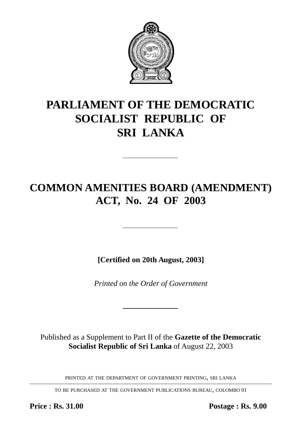

# **PARLIAMENT OF THE DEMOCRATIC SOCIALIST REPUBLIC OF SRI LANKA**

# **COMMON AMENITIES BOARD (AMENDMENT) ACT, No. 24 OF 2003**

**[Certified on 20th August, 2003]**

*Printed on the Order of Government*

Published as a Supplement to Part II of the **Gazette of the Democratic Socialist Republic of Sri Lanka** of August 22, 2003

PRINTED AT THE DEPARTMENT OF GOVERNMENT PRINTING, SRI LANKA

TO BE PURCHASED AT THE GOVERNMENT PUBLICATIONS BUREAU, COLOMBO 01

**Price : Rs. 31.00 Postage : Rs. 9.00**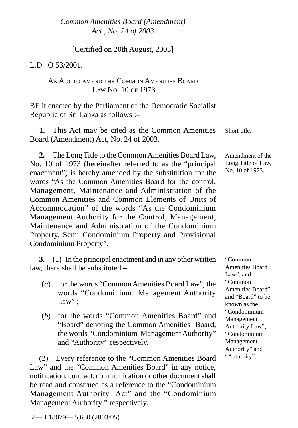Common Amenities and Common Elements of Units of Accommodation" of the words "As the Condominium

Republic of Sri Lanka as follows :–

Management Authority for the Control, Management, Maintenance and Administration of the Condominium Property, Semi Condominium Property and Provisional Condominium Property".

**3.** (1) In the principal enactment and in any other written law, there shall be substituted –

- (*a*) for the words "Common Amenities Board Law", the words "Condominium Management Authority Law":
- (*b*) for the words "Common Amenities Board" and "Board" denoting the Common Amenities Board, the words "Condominium Management Authority" and "Authority" respectively.

(2) Every reference to the "Common Amenities Board Law" and the "Common Amenities Board" in any notice, notification, contract, communication or other document shall be read and construed as a reference to the "Condominium Management Authority Act" and the "Condominium Management Authority " respectively.

Board (Amendment) Act, No. 24 of 2003. **2.** The Long Title to the Common Amenities Board Law, No. 10 of 1973 (hereinafter referred to as the "principal enactment") is hereby amended by the substitution for the words "As the Common Amenities Board for the control, Management, Maintenance and Administration of the

**1.** This Act may be cited as the Common Amenities

LAW No. 10 OF 1973

L.D $=$ O 53/2001. AN ACT TO AMEND THE COMMON AMENITIES BOARD

BE it enacted by the Parliament of the Democratic Socialist

## $Common$  Amenities Board (Amendment) *Act , No. 24 of 2003*

[Certified on 20th August, 2003]

Short title.

Amendment of the Long Title of Law, No. 10 of 1973.

"Common Amenities Board Law", and "Common Amenities Board", and "Board" to be known as the "Condominium Management Authority Law", "Condominium Management Authority" and "Authority".

2—H 18079— 5,650 (2003/05)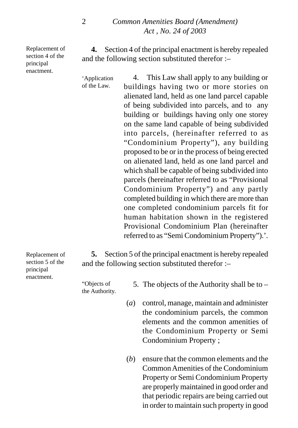#### 2 *Common Amenities Board (Amendment) Act , No. 24 of 2003*

Replacement of section 4 of the principal enactment.

**4.** Section 4 of the principal enactment is hereby repealed and the following section substituted therefor :–

4. This Law shall apply to any building or buildings having two or more stories on alienated land, held as one land parcel capable of being subdivided into parcels, and to any building or buildings having only one storey on the same land capable of being subdivided into parcels, (hereinafter referred to as "Condominium Property"), any building proposed to be or in the process of being erected on alienated land, held as one land parcel and which shall be capable of being subdivided into parcels (hereinafter referred to as "Provisional Condominium Property") and any partly completed building in which there are more than one completed condominium parcels fit for human habitation shown in the registered Provisional Condominium Plan (hereinafter referred to as "Semi Condominium Property").'. 'Application of the Law.

**5.** Section 5 of the principal enactment is hereby repealed and the following section substituted therefor :–

"Objects of the Authority.

- 5. The objects of the Authority shall be to –
- (*a*) control, manage, maintain and administer the condominium parcels, the common elements and the common amenities of the Condominium Property or Semi Condominium Property ;
- (*b*) ensure that the common elements and the Common Amenities of the Condominium Property or Semi Condominium Property are properly maintained in good order and that periodic repairs are being carried out in order to maintain such property in good

Replacement of section 5 of the principal enactment.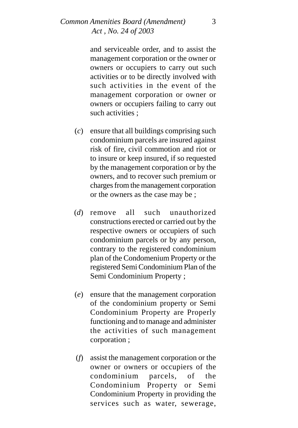#### *Common Amenities Board (Amendment)* 3 *Act , No. 24 of 2003*

and serviceable order, and to assist the management corporation or the owner or owners or occupiers to carry out such activities or to be directly involved with such activities in the event of the management corporation or owner or owners or occupiers failing to carry out such activities ;

- (*c*) ensure that all buildings comprising such condominium parcels are insured against risk of fire, civil commotion and riot or to insure or keep insured, if so requested by the management corporation or by the owners, and to recover such premium or charges from the management corporation or the owners as the case may be ;
- (*d*) remove all such unauthorized constructions erected or carried out by the respective owners or occupiers of such condominium parcels or by any person, contrary to the registered condominium plan of the Condomenium Property or the registered Semi Condominium Plan of the Semi Condominium Property ;
- (*e*) ensure that the management corporation of the condominium property or Semi Condominium Property are Properly functioning and to manage and administer the activities of such management corporation ;
- (*f*) assist the management corporation or the owner or owners or occupiers of the condominium parcels, of the Condominium Property or Semi Condominium Property in providing the services such as water, sewerage,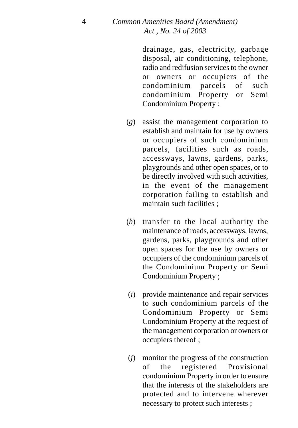drainage, gas, electricity, garbage disposal, air conditioning, telephone, radio and redifusion services to the owner or owners or occupiers of the condominium parcels of such condominium Property or Semi Condominium Property ;

- (*g*) assist the management corporation to establish and maintain for use by owners or occupiers of such condominium parcels, facilities such as roads, accessways, lawns, gardens, parks, playgrounds and other open spaces, or to be directly involved with such activities, in the event of the management corporation failing to establish and maintain such facilities ;
- (*h*) transfer to the local authority the maintenance of roads, accessways, lawns, gardens, parks, playgrounds and other open spaces for the use by owners or occupiers of the condominium parcels of the Condominium Property or Semi Condominium Property ;
- (*i*) provide maintenance and repair services to such condominium parcels of the Condominium Property or Semi Condominium Property at the request of the management corporation or owners or occupiers thereof ;
- (*j*) monitor the progress of the construction of the registered Provisional condominium Property in order to ensure that the interests of the stakeholders are protected and to intervene wherever necessary to protect such interests ;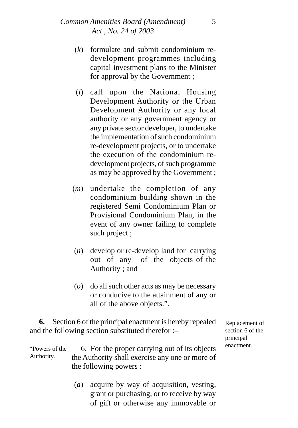#### *Common Amenities Board (Amendment)* 5 *Act , No. 24 of 2003*

- (*k*) formulate and submit condominium redevelopment programmes including capital investment plans to the Minister for approval by the Government ;
- (*l*) call upon the National Housing Development Authority or the Urban Development Authority or any local authority or any government agency or any private sector developer, to undertake the implementation of such condominium re-development projects, or to undertake the execution of the condominium redevelopment projects, of such programme as may be approved by the Government ;
- (*m*) undertake the completion of any condominium building shown in the registered Semi Condominium Plan or Provisional Condominium Plan, in the event of any owner failing to complete such project ;
- (*n*) develop or re-develop land for carrying out of any of the objects of the Authority ; and
- (*o*) do all such other acts as may be necessary or conducive to the attainment of any or all of the above objects.".

**6.** Section 6 of the principal enactment is hereby repealed and the following section substituted therefor :–

"Powers of the 6. For the proper carrying out of its objects enactment. the Authority shall exercise any one or more of the following powers :– Authority.

> (*a*) acquire by way of acquisition, vesting, grant or purchasing, or to receive by way of gift or otherwise any immovable or

Replacement of section 6 of the principal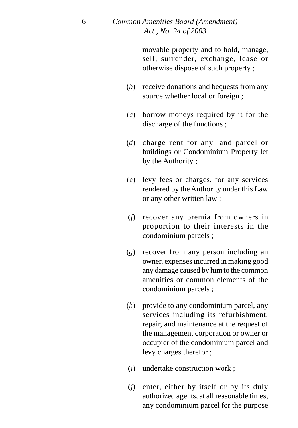movable property and to hold, manage, sell, surrender, exchange, lease or otherwise dispose of such property ;

- (*b*) receive donations and bequests from any source whether local or foreign ;
- (*c*) borrow moneys required by it for the discharge of the functions ;
- (*d*) charge rent for any land parcel or buildings or Condominium Property let by the Authority ;
- (*e*) levy fees or charges, for any services rendered by the Authority under this Law or any other written law ;
- (*f*) recover any premia from owners in proportion to their interests in the condominium parcels ;
- (*g*) recover from any person including an owner, expenses incurred in making good any damage caused by him to the common amenities or common elements of the condominium parcels ;
- (*h*) provide to any condominium parcel, any services including its refurbishment, repair, and maintenance at the request of the management corporation or owner or occupier of the condominium parcel and levy charges therefor ;
- (*i*) undertake construction work ;
- (*j*) enter, either by itself or by its duly authorized agents, at all reasonable times, any condominium parcel for the purpose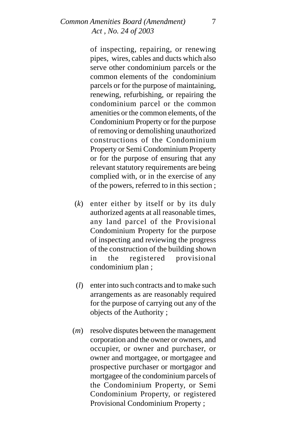#### *Common Amenities Board (Amendment)* 7 *Act , No. 24 of 2003*

of inspecting, repairing, or renewing pipes, wires, cables and ducts which also serve other condominium parcels or the common elements of the condominium parcels or for the purpose of maintaining, renewing, refurbishing, or repairing the condominium parcel or the common amenities or the common elements, of the Condominium Property or for the purpose of removing or demolishing unauthorized constructions of the Condominium Property or Semi Condominium Property or for the purpose of ensuring that any relevant statutory requirements are being complied with, or in the exercise of any of the powers, referred to in this section ;

- (*k*) enter either by itself or by its duly authorized agents at all reasonable times, any land parcel of the Provisional Condominium Property for the purpose of inspecting and reviewing the progress of the construction of the building shown in the registered provisional condominium plan ;
- (*l*) enter into such contracts and to make such arrangements as are reasonably required for the purpose of carrying out any of the objects of the Authority ;
- (*m*) resolve disputes between the management corporation and the owner or owners, and occupier, or owner and purchaser, or owner and mortgagee, or mortgagee and prospective purchaser or mortgagor and mortgagee of the condominium parcels of the Condominium Property, or Semi Condominium Property, or registered Provisional Condominium Property ;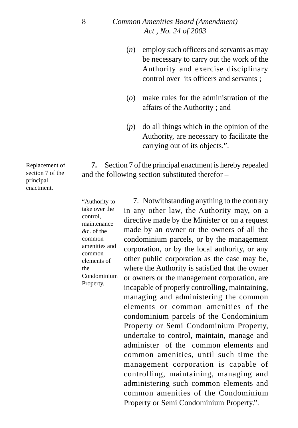## 8 *Common Amenities Board (Amendment) Act , No. 24 of 2003*

- (*n*) employ such officers and servants as may be necessary to carry out the work of the Authority and exercise disciplinary control over its officers and servants ;
- (*o*) make rules for the administration of the affairs of the Authority ; and
- (*p*) do all things which in the opinion of the Authority, are necessary to facilitate the carrying out of its objects.".

**7.** Section 7 of the principal enactment is hereby repealed and the following section substituted therefor –

7. Notwithstanding anything to the contrary in any other law, the Authority may, on a directive made by the Minister or on a request made by an owner or the owners of all the condominium parcels, or by the management corporation, or by the local authority, or any other public corporation as the case may be, where the Authority is satisfied that the owner or owners or the management corporation, are incapable of properly controlling, maintaining, managing and administering the common elements or common amenities of the condominium parcels of the Condominium Property or Semi Condominium Property, undertake to control, maintain, manage and administer of the common elements and common amenities, until such time the management corporation is capable of controlling, maintaining, managing and administering such common elements and common amenities of the Condominium Property or Semi Condominium Property.". "Authority to take over the maintenance amenities and elements of Condominium

Replacement of section 7 of the principal enactment.

control,

&c. of the common

common

Property.

the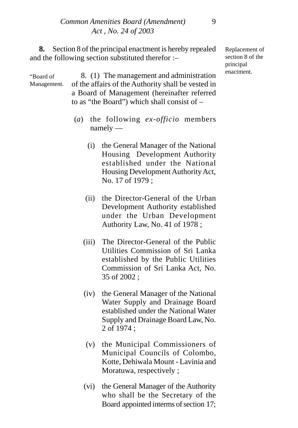**8.** Section 8 of the principal enactment is hereby repealed and the following section substituted therefor :–

8. (1) The management and administration of the affairs of the Authority shall be vested in a Board of Management (hereinafter referred to as "the Board") which shall consist of – "Board of Management.

- (*a*) the following *ex-officio* members namely —
	- (i) the General Manager of the National Housing Development Authority established under the National Housing Development Authority Act, No. 17 of 1979 ;
	- (ii) the Director-General of the Urban Development Authority established under the Urban Development Authority Law, No. 41 of 1978 ;
	- (iii) The Director-General of the Public Utilities Commission of Sri Lanka established by the Public Utilities Commission of Sri Lanka Act, No. 35 of 2002 ;
	- (iv) the General Manager of the National Water Supply and Drainage Board established under the National Water Supply and Drainage Board Law, No. 2 of 1974 ;
	- (v) the Municipal Commissioners of Municipal Councils of Colombo, Kotte, Dehiwala Mount - Lavinia and Moratuwa, respectively ;
	- (vi) the General Manager of the Authority who shall be the Secretary of the Board appointed interms of section 17;

Replacement of section 8 of the principal enactment.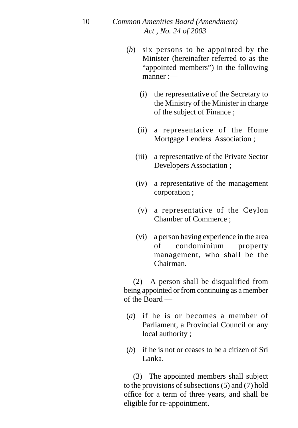- (*b*) six persons to be appointed by the Minister (hereinafter referred to as the "appointed members") in the following manner :—
	- (i) the representative of the Secretary to the Ministry of the Minister in charge of the subject of Finance ;
	- (ii) a representative of the Home Mortgage Lenders Association ;
	- (iii) a representative of the Private Sector Developers Association ;
	- (iv) a representative of the management corporation ;
	- (v) a representative of the Ceylon Chamber of Commerce ;
	- (vi) a person having experience in the area of condominium property management, who shall be the Chairman.

(2) A person shall be disqualified from being appointed or from continuing as a member of the Board —

- (*a*) if he is or becomes a member of Parliament, a Provincial Council or any local authority ;
- (*b*) if he is not or ceases to be a citizen of Sri Lanka.

(3) The appointed members shall subject to the provisions of subsections (5) and (7) hold office for a term of three years, and shall be eligible for re-appointment.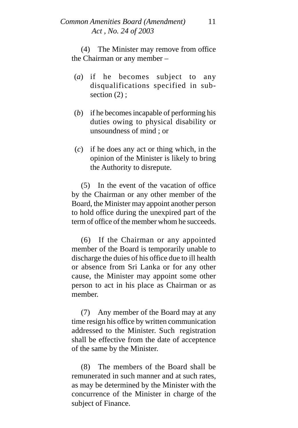## *Common Amenities Board (Amendment)* 11 *Act , No. 24 of 2003*

(4) The Minister may remove from office the Chairman or any member –

- (*a*) if he becomes subject to any disqualifications specified in subsection  $(2)$ ;
- (*b*) if he becomes incapable of performing his duties owing to physical disability or unsoundness of mind ; or
- (*c*) if he does any act or thing which, in the opinion of the Minister is likely to bring the Authority to disrepute.

(5) In the event of the vacation of office by the Chairman or any other member of the Board, the Minister may appoint another person to hold office during the unexpired part of the term of office of the member whom he succeeds.

(6) If the Chairman or any appointed member of the Board is temporarily unable to discharge the duies of his office due to ill health or absence from Sri Lanka or for any other cause, the Minister may appoint some other person to act in his place as Chairman or as member.

(7) Any member of the Board may at any time resign his office by written communication addressed to the Minister. Such registration shall be effective from the date of acceptence of the same by the Minister.

(8) The members of the Board shall be remunerated in such manner and at such rates, as may be determined by the Minister with the concurrence of the Minister in charge of the subject of Finance.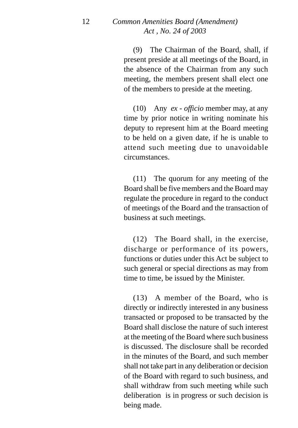(9) The Chairman of the Board, shall, if present preside at all meetings of the Board, in the absence of the Chairman from any such meeting, the members present shall elect one of the members to preside at the meeting.

(10) Any *ex - officio* member may, at any time by prior notice in writing nominate his deputy to represent him at the Board meeting to be held on a given date, if he is unable to attend such meeting due to unavoidable circumstances.

(11) The quorum for any meeting of the Board shall be five members and the Board may regulate the procedure in regard to the conduct of meetings of the Board and the transaction of business at such meetings.

(12) The Board shall, in the exercise, discharge or performance of its powers, functions or duties under this Act be subject to such general or special directions as may from time to time, be issued by the Minister.

(13) A member of the Board, who is directly or indirectly interested in any business transacted or proposed to be transacted by the Board shall disclose the nature of such interest at the meeting of the Board where such business is discussed. The disclosure shall be recorded in the minutes of the Board, and such member shall not take part in any deliberation or decision of the Board with regard to such business, and shall withdraw from such meeting while such deliberation is in progress or such decision is being made.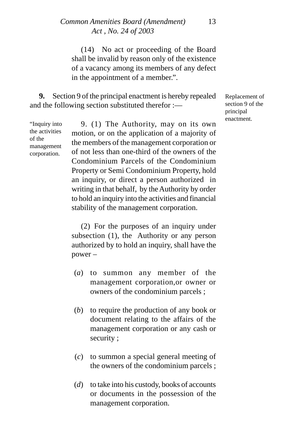### *Common Amenities Board (Amendment)* 13 *Act , No. 24 of 2003*

(14) No act or proceeding of the Board shall be invalid by reason only of the existence of a vacancy among its members of any defect in the appointment of a member.".

**9.** Section 9 of the principal enactment is hereby repealed and the following section substituted therefor :—

"Inquiry into the activities of the management corporation.

9. (1) The Authority, may on its own motion, or on the application of a majority of the members of the management corporation or of not less than one-third of the owners of the Condominium Parcels of the Condominium Property or Semi Condominium Property, hold an inquiry, or direct a person authorized in writing in that behalf, by the Authority by order to hold an inquiry into the activities and financial stability of the management corporation.

(2) For the purposes of an inquiry under subsection (1), the Authority or any person authorized by to hold an inquiry, shall have the power –

- (*a*) to summon any member of the management corporation,or owner or owners of the condominium parcels ;
- (*b*) to require the production of any book or document relating to the affairs of the management corporation or any cash or security ;
- (*c*) to summon a special general meeting of the owners of the condominium parcels ;
- (*d*) to take into his custody, books of accounts or documents in the possession of the management corporation.

Replacement of section 9 of the principal enactment.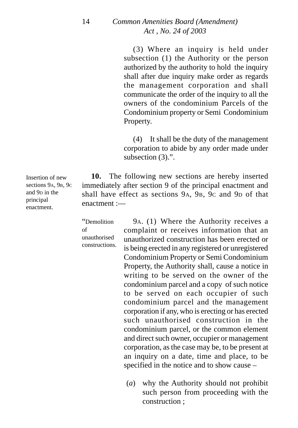(3) Where an inquiry is held under subsection (1) the Authority or the person authorized by the authority to hold the inquiry shall after due inquiry make order as regards the management corporation and shall communicate the order of the inquiry to all the owners of the condominium Parcels of the Condominium property or Semi Condominium Property.

(4) It shall be the duty of the management corporation to abide by any order made under subsection (3).".

**10.** The following new sections are hereby inserted immediately after section 9 of the principal enactment and shall have effect as sections 9A, 9B, 9c and 9p of that enactment :-

> 9A. (1) Where the Authority receives a complaint or receives information that an unauthorized construction has been erected or is being erected in any registered or unregistered Condominium Property or Semi Condominium Property, the Authority shall, cause a notice in writing to be served on the owner of the condominium parcel and a copy of such notice to be served on each occupier of such condominium parcel and the management corporation if any, who is erecting or has erected such unauthorised construction in the condominium parcel, or the common element and direct such owner, occupier or management corporation, as the case may be, to be present at an inquiry on a date, time and place, to be specified in the notice and to show cause –

(*a*) why the Authority should not prohibit such person from proceeding with the construction ;

Insertion of new sections 9A, 9B, 9c and 9D in the principal enactment.

"Demolition

unauthorised constructions.

of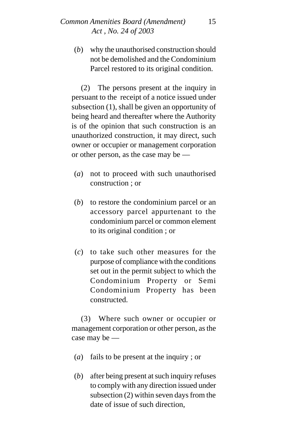#### *Common Amenities Board (Amendment)* 15 *Act , No. 24 of 2003*

(*b*) why the unauthorised construction should not be demolished and the Condominium Parcel restored to its original condition.

(2) The persons present at the inquiry in persuant to the receipt of a notice issued under subsection (1), shall be given an opportunity of being heard and thereafter where the Authority is of the opinion that such construction is an unauthorized construction, it may direct, such owner or occupier or management corporation or other person, as the case may be —

- (*a*) not to proceed with such unauthorised construction ; or
- (*b*) to restore the condominium parcel or an accessory parcel appurtenant to the condominium parcel or common element to its original condition ; or
- (*c*) to take such other measures for the purpose of compliance with the conditions set out in the permit subject to which the Condominium Property or Semi Condominium Property has been constructed.

(3) Where such owner or occupier or management corporation or other person, as the case may be —

- (*a*) fails to be present at the inquiry ; or
- (*b*) after being present at such inquiry refuses to comply with any direction issued under subsection (2) within seven days from the date of issue of such direction,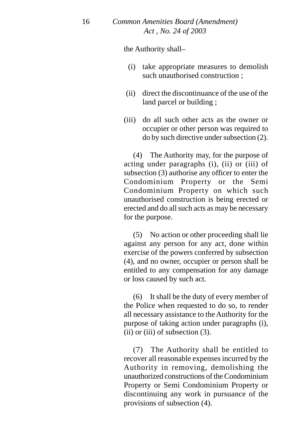the Authority shall–

- (i) take appropriate measures to demolish such unauthorised construction ;
- (ii) direct the discontinuance of the use of the land parcel or building ;
- (iii) do all such other acts as the owner or occupier or other person was required to do by such directive under subsection (2).

(4) The Authority may, for the purpose of acting under paragraphs (i), (ii) or (iii) of subsection (3) authorise any officer to enter the Condominium Property or the Semi Condominium Property on which such unauthorised construction is being erected or erected and do all such acts as may be necessary for the purpose.

(5) No action or other proceeding shall lie against any person for any act, done within exercise of the powers conferred by subsection (4), and no owner, occupier or person shall be entitled to any compensation for any damage or loss caused by such act.

(6) It shall be the duty of every member of the Police when requested to do so, to render all necessary assistance to the Authority for the purpose of taking action under paragraphs (i),  $(ii)$  or  $(iii)$  of subsection  $(3)$ .

(7) The Authority shall be entitled to recover all reasonable expenses incurred by the Authority in removing, demolishing the unauthorized constructions of the Condominium Property or Semi Condominium Property or discontinuing any work in pursuance of the provisions of subsection (4).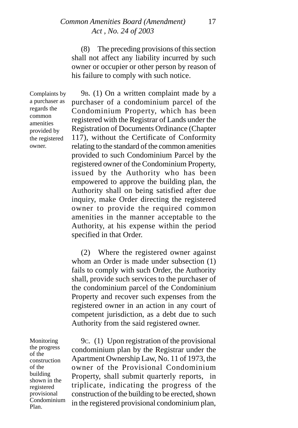#### *Common Amenities Board (Amendment)* 17 *Act , No. 24 of 2003*

(8) The preceding provisions of this section shall not affect any liability incurred by such owner or occupier or other person by reason of his failure to comply with such notice.

Complaints by a purchaser as regards the common amenities provided by the registered owner.

9B. (1) On a written complaint made by a purchaser of a condominium parcel of the Condominium Property, which has been registered with the Registrar of Lands under the Registration of Documents Ordinance (Chapter 117), without the Certificate of Conformity relating to the standard of the common amenities provided to such Condominium Parcel by the registered owner of the Condominium Property, issued by the Authority who has been empowered to approve the building plan, the Authority shall on being satisfied after due inquiry, make Order directing the registered owner to provide the required common amenities in the manner acceptable to the Authority, at his expense within the period specified in that Order.

(2) Where the registered owner against whom an Order is made under subsection (1) fails to comply with such Order, the Authority shall, provide such services to the purchaser of the condominium parcel of the Condominium Property and recover such expenses from the registered owner in an action in any court of competent jurisdiction, as a debt due to such Authority from the said registered owner.

Monitoring the progress of the construction of the building shown in the registered provisional Condominium Plan.

9C. (1) Upon registration of the provisional condominium plan by the Registrar under the Apartment Ownership Law, No. 11 of 1973, the owner of the Provisional Condominium Property, shall submit quarterly reports, in triplicate, indicating the progress of the construction of the building to be erected, shown in the registered provisional condominium plan,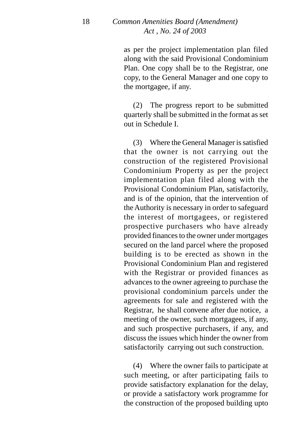as per the project implementation plan filed along with the said Provisional Condominium Plan. One copy shall be to the Registrar, one copy, to the General Manager and one copy to the mortgagee, if any.

(2) The progress report to be submitted quarterly shall be submitted in the format as set out in Schedule I.

(3) Where the General Manager is satisfied that the owner is not carrying out the construction of the registered Provisional Condominium Property as per the project implementation plan filed along with the Provisional Condominium Plan, satisfactorily, and is of the opinion, that the intervention of the Authority is necessary in order to safeguard the interest of mortgagees, or registered prospective purchasers who have already provided finances to the owner under mortgages secured on the land parcel where the proposed building is to be erected as shown in the Provisional Condominium Plan and registered with the Registrar or provided finances as advances to the owner agreeing to purchase the provisional condominium parcels under the agreements for sale and registered with the Registrar, he shall convene after due notice, a meeting of the owner, such mortgagees, if any, and such prospective purchasers, if any, and discuss the issues which hinder the owner from satisfactorily carrying out such construction.

(4) Where the owner fails to participate at such meeting, or after participating fails to provide satisfactory explanation for the delay, or provide a satisfactory work programme for the construction of the proposed building upto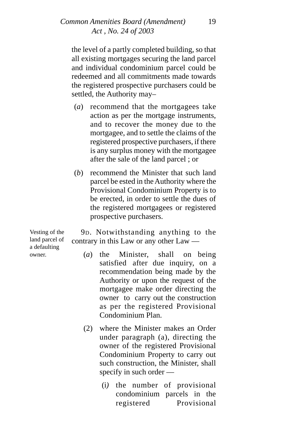#### *Common Amenities Board (Amendment)* 19 *Act , No. 24 of 2003*

the level of a partly completed building, so that all existing mortgages securing the land parcel and individual condominium parcel could be redeemed and all commitments made towards the registered prospective purchasers could be settled, the Authority may–

- (*a*) recommend that the mortgagees take action as per the mortgage instruments, and to recover the money due to the mortgagee, and to settle the claims of the registered prospective purchasers, if there is any surplus money with the mortgagee after the sale of the land parcel ; or
- (*b*) recommend the Minister that such land parcel be ested in the Authority where the Provisional Condominium Property is to be erected, in order to settle the dues of the registered mortgagees or registered prospective purchasers.

Vesting of the land parcel of a defaulting owner.

9D. Notwithstanding anything to the contrary in this Law or any other Law —

- (*a*) the Minister, shall on being satisfied after due inquiry, on a recommendation being made by the Authority or upon the request of the mortgagee make order directing the owner to carry out the construction as per the registered Provisional Condominium Plan.
- (2) where the Minister makes an Order under paragraph (a), directing the owner of the registered Provisional Condominium Property to carry out such construction, the Minister, shall specify in such order —
	- (i*)* the number of provisional condominium parcels in the registered Provisional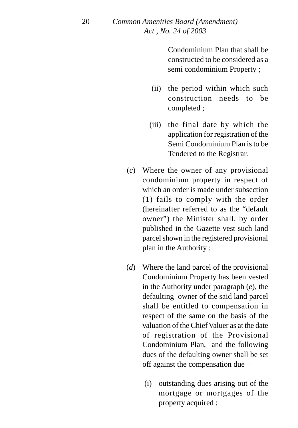Condominium Plan that shall be constructed to be considered as a semi condominium Property ;

- (ii) the period within which such construction needs to be completed ;
- (iii) the final date by which the application for registration of the Semi Condominium Plan is to be Tendered to the Registrar.
- (*c*) Where the owner of any provisional condominium property in respect of which an order is made under subsection (1) fails to comply with the order (hereinafter referred to as the "default owner") the Minister shall, by order published in the Gazette vest such land parcel shown in the registered provisional plan in the Authority ;
- (*d*) Where the land parcel of the provisional Condominium Property has been vested in the Authority under paragraph (*e*), the defaulting owner of the said land parcel shall be entitled to compensation in respect of the same on the basis of the valuation of the Chief Valuer as at the date of registration of the Provisional Condominium Plan, and the following dues of the defaulting owner shall be set off against the compensation due—
	- (i) outstanding dues arising out of the mortgage or mortgages of the property acquired ;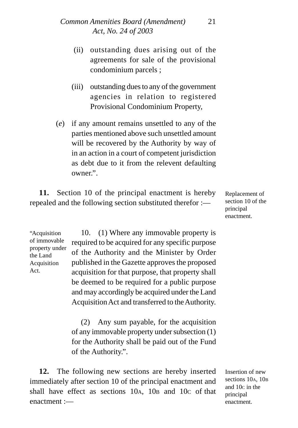## *Common Amenities Board (Amendment)* 21 *Act, No. 24 of 2003*

- (ii) outstanding dues arising out of the agreements for sale of the provisional condominium parcels ;
- (iii) outstanding dues to any of the government agencies in relation to registered Provisional Condominium Property,
- (*e*) if any amount remains unsettled to any of the parties mentioned above such unsettled amount will be recovered by the Authority by way of in an action in a court of competent jurisdiction as debt due to it from the relevent defaulting owner.".

**11.** Section 10 of the principal enactment is hereby repealed and the following section substituted therefor :—

Replacement of section 10 of the principal enactment.

"Acquisition of immovable property under the Land **Acquisition** Act.

10. (1) Where any immovable property is required to be acquired for any specific purpose of the Authority and the Minister by Order published in the Gazette approves the proposed acquisition for that purpose, that property shall be deemed to be required for a public purpose and may accordingly be acquired under the Land Acquisition Act and transferred to the Authority.

(2) Any sum payable, for the acquisition of any immovable property under subsection (1) for the Authority shall be paid out of the Fund of the Authority.".

**12.** The following new sections are hereby inserted immediately after section 10 of the principal enactment and shall have effect as sections 10A, 10B and 10c of that enactment :-

Insertion of new sections 10<sub>A</sub>, 10<sub>B</sub> and 10C in the principal enactment.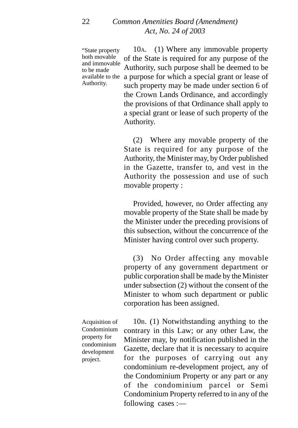"State property both movable and immovable to be made Authority.

10A. (1) Where any immovable property of the State is required for any purpose of the Authority, such purpose shall be deemed to be available to the a purpose for which a special grant or lease of such property may be made under section 6 of the Crown Lands Ordinance, and accordingly the provisions of that Ordinance shall apply to a special grant or lease of such property of the Authority.

> (2) Where any movable property of the State is required for any purpose of the Authority, the Minister may, by Order published in the Gazette, transfer to, and vest in the Authority the possession and use of such movable property :

> Provided, however, no Order affecting any movable property of the State shall be made by the Minister under the preceding provisions of this subsection, without the concurrence of the Minister having control over such property.

> (3) No Order affecting any movable property of any government department or public corporation shall be made by the Minister under subsection (2) without the consent of the Minister to whom such department or public corporation has been assigned.

Acquisition of Condominium property for condominium development project.

10B. (1) Notwithstanding anything to the contrary in this Law; or any other Law, the Minister may, by notification published in the Gazette, declare that it is necessary to acquire for the purposes of carrying out any condominium re-development project, any of the Condominium Property or any part or any of the condominium parcel or Semi Condominium Property referred to in any of the following cases :—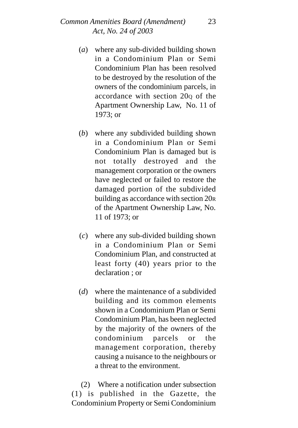#### *Common Amenities Board (Amendment)* 23 *Act, No. 24 of 2003*

- (*a*) where any sub-divided building shown in a Condominium Plan or Semi Condominium Plan has been resolved to be destroyed by the resolution of the owners of the condominium parcels, in accordance with section 200 of the Apartment Ownership Law, No. 11 of 1973; or
- (*b*) where any subdivided building shown in a Condominium Plan or Semi Condominium Plan is damaged but is not totally destroyed and the management corporation or the owners have neglected or failed to restore the damaged portion of the subdivided building as accordance with section 20R of the Apartment Ownership Law, No. 11 of 1973; or
- (*c*) where any sub-divided building shown in a Condominium Plan or Semi Condominium Plan, and constructed at least forty (40) years prior to the declaration ; or
- (*d*) where the maintenance of a subdivided building and its common elements shown in a Condominium Plan or Semi Condominium Plan, has been neglected by the majority of the owners of the condominium parcels or the management corporation, thereby causing a nuisance to the neighbours or a threat to the environment.

(2) Where a notification under subsection (1) is published in the Gazette, the Condominium Property or Semi Condominium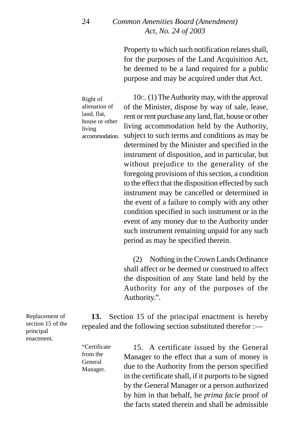#### *Common Amenities Board (Amendment) Act, No. 24 of 2003*

Property to which such notification relates shall, for the purposes of the Land Acquisition Act, be deemed to be a land required for a public purpose and may be acquired under that Act.

Right of alienation of land, flat, house or other living accommodation.

"Certificate from the General Manager.

10C. (1) The Authority may, with the approval of the Minister, dispose by way of sale, lease, rent or rent purchase any land, flat, house or other living accommodation held by the Authority, subject to such terms and conditions as may be determined by the Minister and specified in the instrument of disposition, and in particular, but without prejudice to the generality of the foregoing provisions of this section, a condition to the effect that the disposition effected by such instrument may be cancelled or determined in the event of a failure to comply with any other condition specified in such instrument or in the event of any money due to the Authority under such instrument remaining unpaid for any such period as may be specified therein.

(2) Nothing in the Crown Lands Ordinance shall affect or be deemed or construed to affect the disposition of any State land held by the Authority for any of the purposes of the Authority.".

**13.** Section 15 of the principal enactment is hereby repealed and the following section substituted therefor :—

> 15. A certificate issued by the General Manager to the effect that a sum of money is due to the Authority from the person specified in the certificate shall, if it purports to be signed by the General Manager or a person authorized by him in that behalf, be *prima facie* proof of the facts stated therein and shall be admissible

Replacement of section 15 of the principal enactment.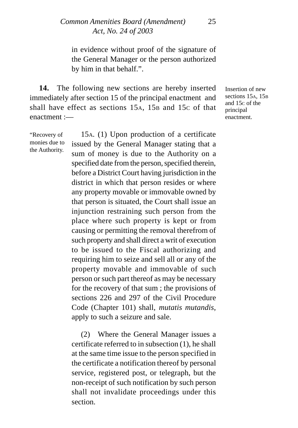in evidence without proof of the signature of the General Manager or the person authorized by him in that behalf.".

**14.** The following new sections are hereby inserted immediately after section 15 of the principal enactment and shall have effect as sections 15A, 15B and 15c of that enactment :-

15A. (1) Upon production of a certificate issued by the General Manager stating that a sum of money is due to the Authority on a specified date from the person, specified therein, before a District Court having jurisdiction in the district in which that person resides or where any property movable or immovable owned by that person is situated, the Court shall issue an injunction restraining such person from the place where such property is kept or from causing or permitting the removal therefrom of such property and shall direct a writ of execution to be issued to the Fiscal authorizing and requiring him to seize and sell all or any of the property movable and immovable of such person or such part thereof as may be necessary for the recovery of that sum ; the provisions of sections 226 and 297 of the Civil Procedure Code (Chapter 101) shall, *mutatis mutandis*, apply to such a seizure and sale. "Recovery of monies due to the Authority.

> (2) Where the General Manager issues a certificate referred to in subsection (1), he shall at the same time issue to the person specified in the certificate a notification thereof by personal service, registered post, or telegraph, but the non-receipt of such notification by such person shall not invalidate proceedings under this section.

Insertion of new sections 15<sub>A</sub>, 15<sub>B</sub> and 15C of the principal enactment.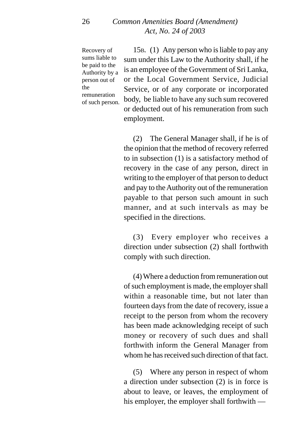Recovery of sums liable to be paid to the Authority by a person out of the remuneration of such person.

15B. (1) Any person who is liable to pay any sum under this Law to the Authority shall, if he is an employee of the Government of Sri Lanka, or the Local Government Service, Judicial Service, or of any corporate or incorporated body, be liable to have any such sum recovered or deducted out of his remuneration from such employment.

(2) The General Manager shall, if he is of the opinion that the method of recovery referred to in subsection (1) is a satisfactory method of recovery in the case of any person, direct in writing to the employer of that person to deduct and pay to the Authority out of the remuneration payable to that person such amount in such manner, and at such intervals as may be specified in the directions.

(3) Every employer who receives a direction under subsection (2) shall forthwith comply with such direction.

(4) Where a deduction from remuneration out of such employment is made, the employer shall within a reasonable time, but not later than fourteen days from the date of recovery, issue a receipt to the person from whom the recovery has been made acknowledging receipt of such money or recovery of such dues and shall forthwith inform the General Manager from whom he has received such direction of that fact.

(5) Where any person in respect of whom a direction under subsection (2) is in force is about to leave, or leaves, the employment of his employer, the employer shall forthwith —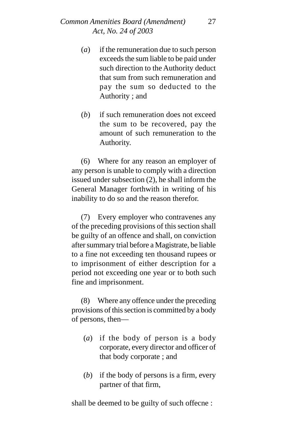#### *Common Amenities Board (Amendment)* 27 *Act, No. 24 of 2003*

- (*a*) if the remuneration due to such person exceeds the sum liable to be paid under such direction to the Authority deduct that sum from such remuneration and pay the sum so deducted to the Authority ; and
- (*b*) if such remuneration does not exceed the sum to be recovered, pay the amount of such remuneration to the Authority.

(6) Where for any reason an employer of any person is unable to comply with a direction issued under subsection (2), he shall inform the General Manager forthwith in writing of his inability to do so and the reason therefor.

(7) Every employer who contravenes any of the preceding provisions of this section shall be guilty of an offence and shall, on conviction after summary trial before a Magistrate, be liable to a fine not exceeding ten thousand rupees or to imprisonment of either description for a period not exceeding one year or to both such fine and imprisonment.

(8) Where any offence under the preceding provisions of this section is committed by a body of persons, then—

- (*a*) if the body of person is a body corporate, every director and officer of that body corporate ; and
- (*b*) if the body of persons is a firm, every partner of that firm,

shall be deemed to be guilty of such offecne :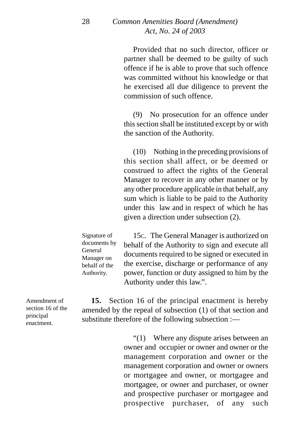Provided that no such director, officer or partner shall be deemed to be guilty of such offence if he is able to prove that such offence was committed without his knowledge or that he exercised all due diligence to prevent the commission of such offence.

(9) No prosecution for an offence under this section shall be instituted except by or with the sanction of the Authority.

(10) Nothing in the preceding provisions of this section shall affect, or be deemed or construed to affect the rights of the General Manager to recover in any other manner or by any other procedure applicable in that behalf, any sum which is liable to be paid to the Authority under this law and in respect of which he has given a direction under subsection (2).

15C. The General Manager is authorized on behalf of the Authority to sign and execute all documents required to be signed or executed in the exercise, discharge or performance of any power, function or duty assigned to him by the Authority under this law.". Signature of documents by General Manager on behalf of the Authority.

Amendment of section 16 of the principal enactment.

**15.** Section 16 of the principal enactment is hereby amended by the repeal of subsection (1) of that section and substitute therefore of the following subsection :—

> "(1) Where any dispute arises between an owner and occupier or owner and owner or the management corporation and owner or the management corporation and owner or owners or mortgagee and owner, or mortgagee and mortgagee, or owner and purchaser, or owner and prospective purchaser or mortgagee and prospective purchaser, of any such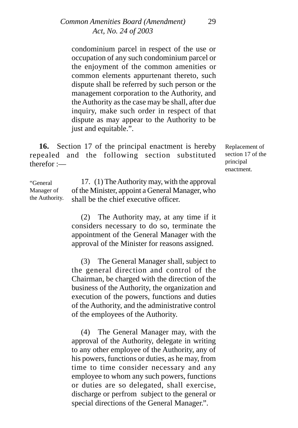condominium parcel in respect of the use or occupation of any such condominium parcel or the enjoyment of the common amenities or common elements appurtenant thereto, such dispute shall be referred by such person or the management corporation to the Authority, and the Authority as the case may be shall, after due inquiry, make such order in respect of that dispute as may appear to the Authority to be just and equitable.".

**16.** Section 17 of the principal enactment is hereby repealed and the following section substituted therefor :—

Replacement of section 17 of the principal enactment.

17. (1) The Authority may, with the approval of the Minister, appoint a General Manager, who shall be the chief executive officer. "General Manager of the Authority.

> (2) The Authority may, at any time if it considers necessary to do so, terminate the appointment of the General Manager with the approval of the Minister for reasons assigned.

> (3) The General Manager shall, subject to the general direction and control of the Chairman, be charged with the direction of the business of the Authority, the organization and execution of the powers, functions and duties of the Authority, and the administrative control of the employees of the Authority.

> (4) The General Manager may, with the approval of the Authority, delegate in writing to any other employee of the Authority, any of his powers, functions or duties, as he may, from time to time consider necessary and any employee to whom any such powers, functions or duties are so delegated, shall exercise, discharge or perfrom subject to the general or special directions of the General Manager.".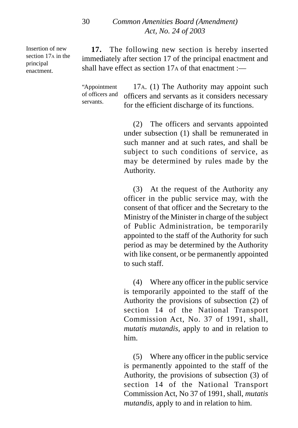#### *Common Amenities Board (Amendment) Act, No. 24 of 2003* 30

Insertion of new section 17A in the principal enactment.

**17.** The following new section is hereby inserted immediately after section 17 of the principal enactment and shall have effect as section  $17_A$  of that enactment  $\cdot$ 

17A. (1) The Authority may appoint such officers and servants as it considers necessary for the efficient discharge of its functions. "Appointment of officers and servants.

> (2) The officers and servants appointed under subsection (1) shall be remunerated in such manner and at such rates, and shall be subject to such conditions of service, as may be determined by rules made by the Authority.

> (3) At the request of the Authority any officer in the public service may, with the consent of that officer and the Secretary to the Ministry of the Minister in charge of the subject of Public Administration, be temporarily appointed to the staff of the Authority for such period as may be determined by the Authority with like consent, or be permanently appointed to such staff.

> (4) Where any officer in the public service is temporarily appointed to the staff of the Authority the provisions of subsection (2) of section 14 of the National Transport Commission Act, No. 37 of 1991, shall, *mutatis mutandis*, apply to and in relation to him.

> (5) Where any officer in the public service is permanently appointed to the staff of the Authority, the provisions of subsection (3) of section 14 of the National Transport Commission Act, No 37 of 1991, shall, *mutatis mutandis*, apply to and in relation to him.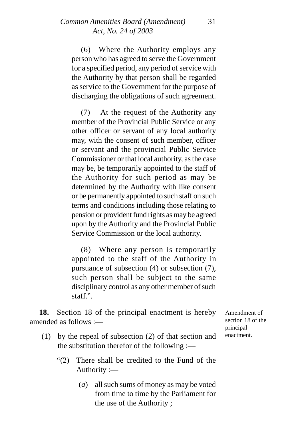#### *Common Amenities Board (Amendment)* 31 *Act, No. 24 of 2003*

(6) Where the Authority employs any person who has agreed to serve the Government for a specified period, any period of service with the Authority by that person shall be regarded as service to the Government for the purpose of discharging the obligations of such agreement.

(7) At the request of the Authority any member of the Provincial Public Service or any other officer or servant of any local authority may, with the consent of such member, officer or servant and the provincial Public Service Commissioner or that local authority, as the case may be, be temporarily appointed to the staff of the Authority for such period as may be determined by the Authority with like consent or be permanently appointed to such staff on such terms and conditions including those relating to pension or provident fund rights as may be agreed upon by the Authority and the Provincial Public Service Commission or the local authority.

(8) Where any person is temporarily appointed to the staff of the Authority in pursuance of subsection (4) or subsection (7), such person shall be subject to the same disciplinary control as any other member of such staff.".

**18.** Section 18 of the principal enactment is hereby amended as follows :—

- (1) by the repeal of subsection (2) of that section and the substitution therefor of the following :—
	- "(2) There shall be credited to the Fund of the Authority :—
		- (*a*) all such sums of money as may be voted from time to time by the Parliament for the use of the Authority ;

Amendment of section 18 of the principal enactment.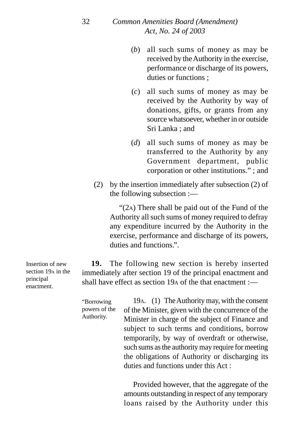#### *Common Amenities Board (Amendment) Act, No. 24 of 2003*

32

- (*b*) all such sums of money as may be received by the Authority in the exercise, performance or discharge of its powers, duties or functions ;
- (*c*) all such sums of money as may be received by the Authority by way of donations, gifts, or grants from any source whatsoever, whether in or outside Sri Lanka ; and
- (*d*) all such sums of money as may be transferred to the Authority by any Government department, public corporation or other institutions." ; and
- (2) by the insertion immediately after subsection (2) of the following subsection :—

"(2A) There shall be paid out of the Fund of the Authority all such sums of money required to defray any expenditure incurred by the Authority in the exercise, performance and discharge of its powers, duties and functions."

**19.** The following new section is hereby inserted immediately after section 19 of the principal enactment and shall have effect as section  $19<sub>A</sub>$  of the that enactment :—

19A. (1) The Authority may, with the consent of the Minister, given with the concurrence of the Minister in charge of the subject of Finance and subject to such terms and conditions, borrow temporarily, by way of overdraft or otherwise, such sums as the authority may require for meeting the obligations of Authority or discharging its duties and functions under this Act : "Borrowing powers of the Authority.

> Provided however, that the aggregate of the amounts outstanding in respect of any temporary loans raised by the Authority under this

Insertion of new section 19A in the principal enactment.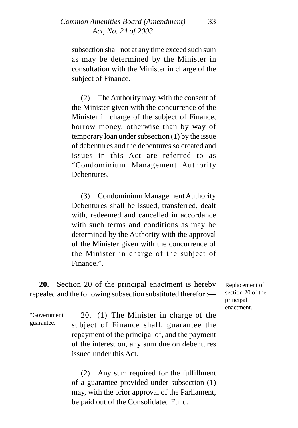#### *Common Amenities Board (Amendment)* 33 *Act, No. 24 of 2003*

subsection shall not at any time exceed such sum as may be determined by the Minister in consultation with the Minister in charge of the subject of Finance.

(2) The Authority may, with the consent of the Minister given with the concurrence of the Minister in charge of the subject of Finance, borrow money, otherwise than by way of temporary loan under subsection (1) by the issue of debentures and the debentures so created and issues in this Act are referred to as "Condominium Management Authority Debentures.

(3) Condominium Management Authority Debentures shall be issued, transferred, dealt with, redeemed and cancelled in accordance with such terms and conditions as may be determined by the Authority with the approval of the Minister given with the concurrence of the Minister in charge of the subject of Finance.".

**20.** Section 20 of the principal enactment is hereby repealed and the following subsection substituted therefor :—

Replacement of section 20 of the principal enactment.

20. (1) The Minister in charge of the subject of Finance shall, guarantee the repayment of the principal of, and the payment of the interest on, any sum due on debentures issued under this Act. "Government guarantee.

> (2) Any sum required for the fulfillment of a guarantee provided under subsection (1) may, with the prior approval of the Parliament, be paid out of the Consolidated Fund.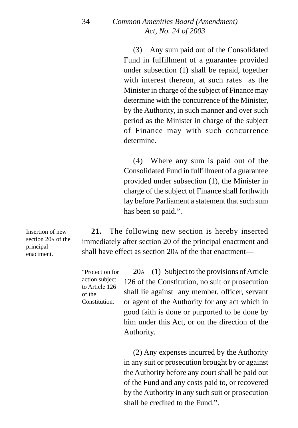(3) Any sum paid out of the Consolidated Fund in fulfillment of a guarantee provided under subsection (1) shall be repaid, together with interest thereon, at such rates as the Minister in charge of the subject of Finance may determine with the concurrence of the Minister, by the Authority, in such manner and over such period as the Minister in charge of the subject of Finance may with such concurrence determine.

(4) Where any sum is paid out of the Consolidated Fund in fulfillment of a guarantee provided under subsection (1), the Minister in charge of the subject of Finance shall forthwith lay before Parliament a statement that such sum has been so paid.".

**21.** The following new section is hereby inserted immediately after section 20 of the principal enactment and shall have effect as section  $20<sub>A</sub>$  of the that enactment—

"Protection for action subject to Article 126 of the **Constitution** 20A (1) Subject to the provisions of Article 126 of the Constitution, no suit or prosecution shall lie against any member, officer, servant or agent of the Authority for any act which in good faith is done or purported to be done by him under this Act, or on the direction of the Authority.

> (2) Any expenses incurred by the Authority in any suit or prosecution brought by or against the Authority before any court shall be paid out of the Fund and any costs paid to, or recovered by the Authority in any such suit or prosecution shall be credited to the Fund.".

Insertion of new section 20A of the principal enactment.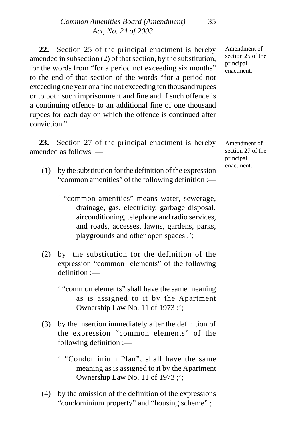**22.** Section 25 of the principal enactment is hereby amended in subsection (2) of that section, by the substitution, for the words from "for a period not exceeding six months" to the end of that section of the words "for a period not exceeding one year or a fine not exceeding ten thousand rupees or to both such imprisonment and fine and if such offence is a continuing offence to an additional fine of one thousand rupees for each day on which the offence is continued after conviction.".

**23.** Section 27 of the principal enactment is hereby amended as follows :—

- (1) by the substitution for the definition of the expression "common amenities" of the following definition :—
	- ' "common amenities" means water, sewerage, drainage, gas, electricity, garbage disposal, airconditioning, telephone and radio services, and roads, accesses, lawns, gardens, parks, playgrounds and other open spaces ;';
- (2) by the substitution for the definition of the expression "common elements" of the following definition :—
	- ' "common elements" shall have the same meaning as is assigned to it by the Apartment Ownership Law No. 11 of 1973 ;';
- (3) by the insertion immediately after the definition of the expression "common elements" of the following definition :—
	- ' "Condominium Plan", shall have the same meaning as is assigned to it by the Apartment Ownership Law No. 11 of 1973 ;';
- (4) by the omission of the definition of the expressions "condominium property" and "housing scheme" ;

Amendment of section 25 of the principal enactment.

Amendment of section 27 of the principal enactment.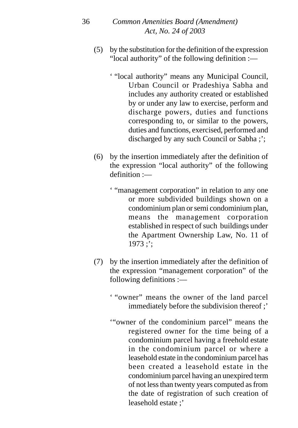#### *Common Amenities Board (Amendment) Act, No. 24 of 2003*

36

- (5) by the substitution for the definition of the expression "local authority" of the following definition :—
	- ' "local authority" means any Municipal Council, Urban Council or Pradeshiya Sabha and includes any authority created or established by or under any law to exercise, perform and discharge powers, duties and functions corresponding to, or similar to the powers, duties and functions, exercised, performed and discharged by any such Council or Sabha ;';
- (6) by the insertion immediately after the definition of the expression "local authority" of the following definition :—
	- ' "management corporation" in relation to any one or more subdivided buildings shown on a condominium plan or semi condominium plan, means the management corporation established in respect of such buildings under the Apartment Ownership Law, No. 11 of 1973 ;';
- (7) by the insertion immediately after the definition of the expression "management corporation" of the following definitions :—
	- ' "owner" means the owner of the land parcel immediately before the subdivision thereof ;'
	- '"owner of the condominium parcel" means the registered owner for the time being of a condominium parcel having a freehold estate in the condominium parcel or where a leasehold estate in the condominium parcel has been created a leasehold estate in the condominium parcel having an unexpired term of not less than twenty years computed as from the date of registration of such creation of leasehold estate ;'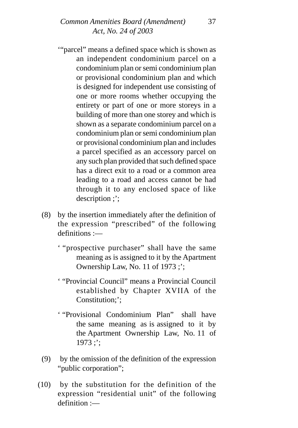#### *Common Amenities Board (Amendment)* 37 *Act, No. 24 of 2003*

- '"parcel" means a defined space which is shown as an independent condominium parcel on a condominium plan or semi condominium plan or provisional condominium plan and which is designed for independent use consisting of one or more rooms whether occupying the entirety or part of one or more storeys in a building of more than one storey and which is shown as a separate condominium parcel on a condominium plan or semi condominium plan or provisional condominium plan and includes a parcel specified as an accessory parcel on any such plan provided that such defined space has a direct exit to a road or a common area leading to a road and access cannot be had through it to any enclosed space of like description ;';
- (8) by the insertion immediately after the definition of the expression "prescribed" of the following definitions :—
	- ' "prospective purchaser" shall have the same meaning as is assigned to it by the Apartment Ownership Law, No. 11 of 1973 ;';
	- ' "Provincial Council" means a Provincial Council established by Chapter XVIIA of the Constitution;';
	- ' "Provisional Condominium Plan" shall have the same meaning as is assigned to it by the Apartment Ownership Law, No. 11 of 1973 ;';
- (9) by the omission of the definition of the expression "public corporation";
- (10) by the substitution for the definition of the expression "residential unit" of the following definition :—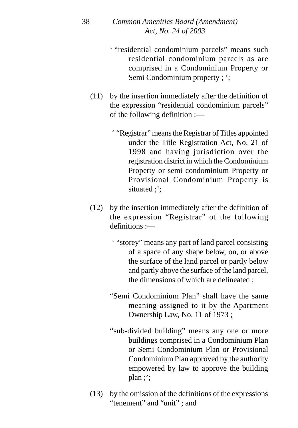#### *Common Amenities Board (Amendment) Act, No. 24 of 2003*

- ' "residential condominium parcels" means such residential condominium parcels as are comprised in a Condominium Property or Semi Condominium property ; ';
- (11) by the insertion immediately after the definition of the expression "residential condominium parcels" of the following definition :—
	- ' "Registrar" means the Registrar of Titles appointed under the Title Registration Act, No. 21 of 1998 and having jurisdiction over the registration district in which the Condominium Property or semi condominium Property or Provisional Condominium Property is situated :':
- (12) by the insertion immediately after the definition of the expression "Registrar" of the following definitions :—
	- ' "storey" means any part of land parcel consisting of a space of any shape below, on, or above the surface of the land parcel or partly below and partly above the surface of the land parcel, the dimensions of which are delineated ;
	- "Semi Condominium Plan" shall have the same meaning assigned to it by the Apartment Ownership Law, No. 11 of 1973 ;
	- "sub-divided building" means any one or more buildings comprised in a Condominium Plan or Semi Condominium Plan or Provisional Condominium Plan approved by the authority empowered by law to approve the building plan ;';
- (13) by the omission of the definitions of the expressions "tenement" and "unit" ; and

38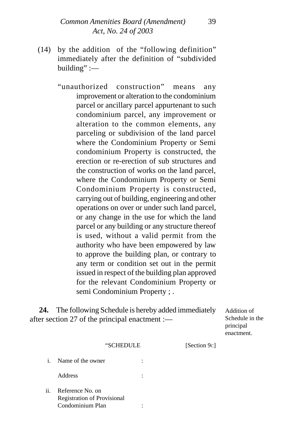- (14) by the addition of the "following definition" immediately after the definition of "subdivided building" :—
	- "unauthorized construction" means any improvement or alteration to the condominium parcel or ancillary parcel appurtenant to such condominium parcel, any improvement or alteration to the common elements, any parceling or subdivision of the land parcel where the Condominium Property or Semi condominium Property is constructed, the erection or re-erection of sub structures and the construction of works on the land parcel, where the Condominium Property or Semi Condominium Property is constructed, carrying out of building, engineering and other operations on over or under such land parcel, or any change in the use for which the land parcel or any building or any structure thereof is used, without a valid permit from the authority who have been empowered by law to approve the building plan, or contrary to any term or condition set out in the permit issued in respect of the building plan approved for the relevant Condominium Property or semi Condominium Property ; .

**24.** The following Schedule is hereby added immediately after section 27 of the principal enactment :—

Addition of Schedule in the principal enactment.

#### "SCHEDULE [Section 9c]

i. Name of the owner :

Address :

ii. Reference No. on Registration of Provisional Condominium Plan :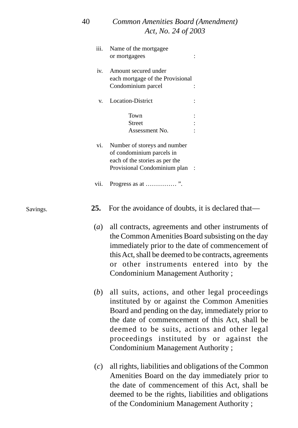## *Common Amenities Board (Amendment) Act, No. 24 of 2003*

40

|          | iii. | Name of the mortgagee                                                                                                                                                                                                                                                                                |  |
|----------|------|------------------------------------------------------------------------------------------------------------------------------------------------------------------------------------------------------------------------------------------------------------------------------------------------------|--|
|          |      | or mortgagees                                                                                                                                                                                                                                                                                        |  |
|          | iv.  | Amount secured under                                                                                                                                                                                                                                                                                 |  |
|          |      | each mortgage of the Provisional                                                                                                                                                                                                                                                                     |  |
|          |      | Condominium parcel                                                                                                                                                                                                                                                                                   |  |
|          | V.   | Location-District                                                                                                                                                                                                                                                                                    |  |
|          |      | Town                                                                                                                                                                                                                                                                                                 |  |
|          |      | <b>Street</b>                                                                                                                                                                                                                                                                                        |  |
|          |      | Assessment No.                                                                                                                                                                                                                                                                                       |  |
|          | vi.  | Number of storeys and number                                                                                                                                                                                                                                                                         |  |
|          |      | of condominium parcels in                                                                                                                                                                                                                                                                            |  |
|          |      | each of the stories as per the                                                                                                                                                                                                                                                                       |  |
|          |      | Provisional Condominium plan :                                                                                                                                                                                                                                                                       |  |
|          | vii. |                                                                                                                                                                                                                                                                                                      |  |
| Savings. | 25.  | For the avoidance of doubts, it is declared that-                                                                                                                                                                                                                                                    |  |
| (a)      |      | all contracts, agreements and other instruments of<br>the Common Amenities Board subsisting on the day<br>immediately prior to the date of commencement of<br>this Act, shall be deemed to be contracts, agreements<br>or other instruments entered into by the<br>Condominium Management Authority; |  |
|          | (b)  | all suits, actions, and other legal proceedings<br>instituted by or against the Common Amenities<br>Board and pending on the day, immediately prior to<br>the date of commencement of this Act, shall be                                                                                             |  |
|          |      | deemed to be suits, actions and other legal<br>proceedings instituted by or against the<br>Condominium Management Authority;                                                                                                                                                                         |  |

(*c*) all rights, liabilities and obligations of the Common Amenities Board on the day immediately prior to the date of commencement of this Act, shall be deemed to be the rights, liabilities and obligations of the Condominium Management Authority ;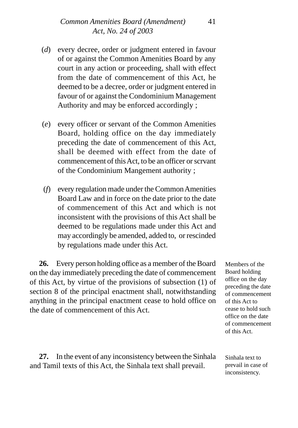- (*d*) every decree, order or judgment entered in favour of or against the Common Amenities Board by any court in any action or proceeding, shall with effect from the date of commencement of this Act, he deemed to be a decree, order or judgment entered in favour of or against the Condominium Management Authority and may be enforced accordingly ;
- (*e*) every officer or servant of the Common Amenities Board, holding office on the day immediately preceding the date of commencement of this Act, shall be deemed with effect from the date of commencement of this Act, to be an officer or scrvant of the Condominium Mangement authority ;
- (*f*) every regulation made under the Common Amenities Board Law and in force on the date prior to the date of commencement of this Act and which is not inconsistent with the provisions of this Act shall be deemed to be regulations made under this Act and may accordingly be amended, added to, or rescinded by regulations made under this Act.

**26.** Every person holding office as a member of the Board on the day immediately preceding the date of commencement of this Act, by virtue of the provisions of subsection (1) of section 8 of the principal enactment shall, notwithstanding anything in the principal enactment cease to hold office on the date of commencement of this Act.

**27.** In the event of any inconsistency between the Sinhala and Tamil texts of this Act, the Sinhala text shall prevail.

Members of the Board holding office on the day preceding the date of commencement of this Act to cease to hold such office on the date of commencement of this Act.

Sinhala text to prevail in case of inconsistency.